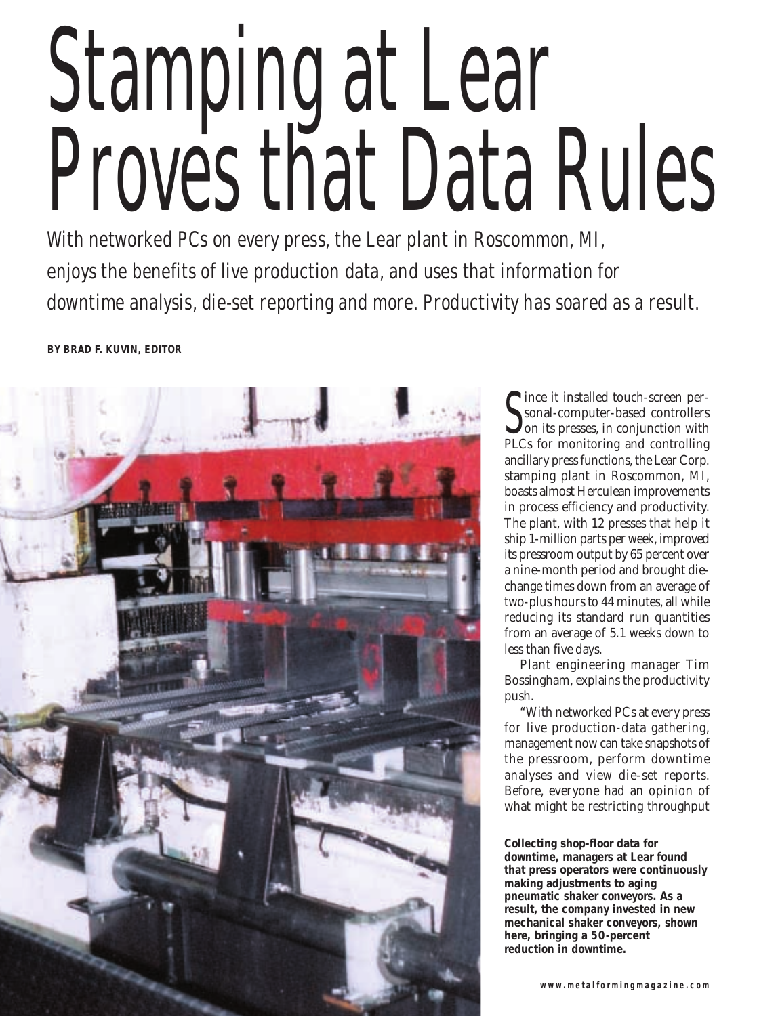# Stamping at Lear Proves that Data Rules

With networked PCs on every press, the Lear plant in Roscommon, MI, enjoys the benefits of live production data, and uses that information for downtime analysis, die-set reporting and more. Productivity has soared as a result.

**BY BRAD F. KUVIN, EDITOR**



Since it instanted touch-screen per-<br>
sonal-computer-based controllers<br>
on its presses, in conjunction with ince it installed touch-screen personal-computer-based controllers PLCs for monitoring and controlling ancillary press functions, the Lear Corp. stamping plant in Roscommon, MI, boasts almost Herculean improvements in process efficiency and productivity. The plant, with 12 presses that help it ship 1-million parts per week, improved its pressroom output by 65 percent over a nine-month period and brought diechange times down from an average of two-plus hours to 44 minutes, all while reducing its standard run quantities from an average of 5.1 weeks down to less than five days.

Plant engineering manager Tim Bossingham, explains the productivity push.

"With networked PCs at every press for live production-data gathering, management now can take snapshots of the pressroom, perform downtime analyses and view die-set reports. Before, everyone had an opinion of what might be restricting throughput

**Collecting shop-floor data for downtime, managers at Lear found that press operators were continuously making adjustments to aging pneumatic shaker conveyors. As a result, the company invested in new mechanical shaker conveyors, shown here, bringing a 50-percent reduction in downtime.**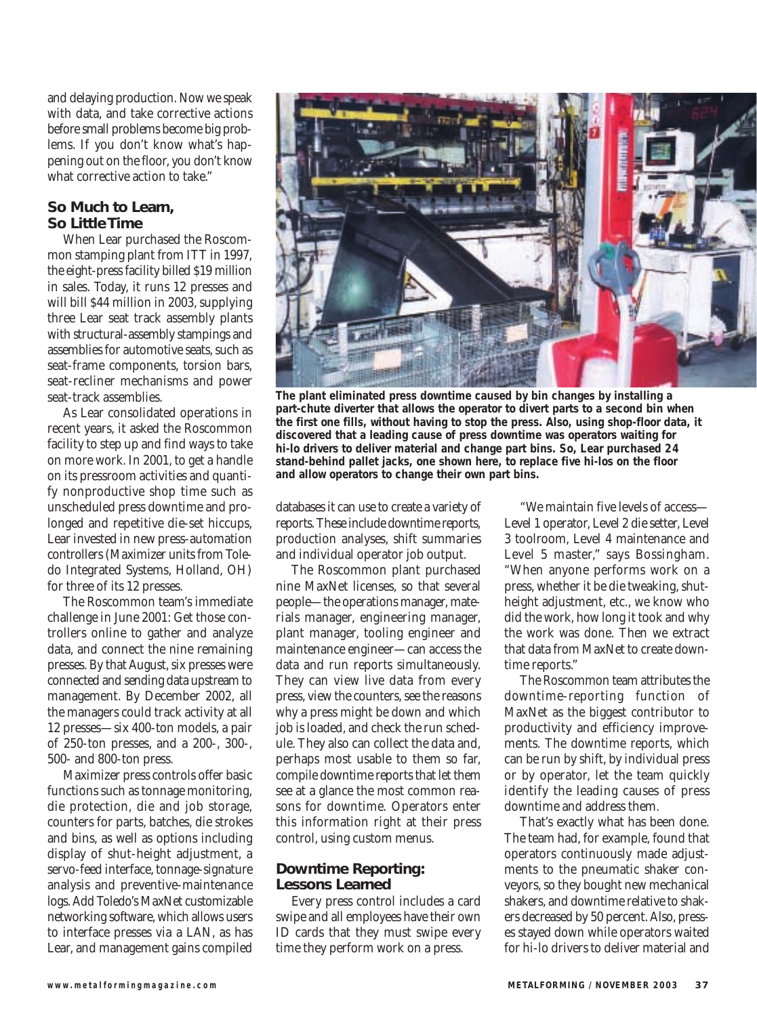and delaying production. Now we speak with data, and take corrective actions before small problems become big problems. If you don't know what's happening out on the floor, you don't know what corrective action to take."

# **So Much to Learn, So Little Time**

When Lear purchased the Roscommon stamping plant from ITT in 1997, the eight-press facility billed \$19 million in sales. Today, it runs 12 presses and will bill \$44 million in 2003, supplying three Lear seat track assembly plants with structural-assembly stampings and assemblies for automotive seats, such as seat-frame components, torsion bars, seat-recliner mechanisms and power seat-track assemblies.

As Lear consolidated operations in recent years, it asked the Roscommon facility to step up and find ways to take on more work. In 2001, to get a handle on its pressroom activities and quantify nonproductive shop time such as unscheduled press downtime and prolonged and repetitive die-set hiccups, Lear invested in new press-automation controllers (Maximizer units from Toledo Integrated Systems, Holland, OH) for three of its 12 presses.

The Roscommon team's immediate challenge in June 2001: Get those controllers online to gather and analyze data, and connect the nine remaining presses. By that August, six presses were connected and sending data upstream to management. By December 2002, all the managers could track activity at all 12 presses—six 400-ton models, a pair of 250-ton presses, and a 200-, 300-, 500- and 800-ton press.

Maximizer press controls offer basic functions such as tonnage monitoring, die protection, die and job storage, counters for parts, batches, die strokes and bins, as well as options including display of shut-height adjustment, a servo-feed interface, tonnage-signature analysis and preventive-maintenance logs. Add Toledo's MaxNet customizable networking software, which allows users to interface presses via a LAN, as has Lear, and management gains compiled



**The plant eliminated press downtime caused by bin changes by installing a part-chute diverter that allows the operator to divert parts to a second bin when the first one fills, without having to stop the press. Also, using shop-floor data, it discovered that a leading cause of press downtime was operators waiting for hi-lo drivers to deliver material and change part bins. So, Lear purchased 24 stand-behind pallet jacks, one shown here, to replace five hi-los on the floor and allow operators to change their own part bins.**

databases it can use to create a variety of reports. These include downtime reports, production analyses, shift summaries and individual operator job output.

The Roscommon plant purchased nine MaxNet licenses, so that several people—the operations manager, materials manager, engineering manager, plant manager, tooling engineer and maintenance engineer—can access the data and run reports simultaneously. They can view live data from every press, view the counters, see the reasons why a press might be down and which job is loaded, and check the run schedule. They also can collect the data and, perhaps most usable to them so far, compile downtime reports that let them see at a glance the most common reasons for downtime. Operators enter this information right at their press control, using custom menus.

### **Downtime Reporting: Lessons Learned**

Every press control includes a card swipe and all employees have their own ID cards that they must swipe every time they perform work on a press.

"We maintain five levels of access— Level 1 operator, Level 2 die setter, Level 3 toolroom, Level 4 maintenance and Level 5 master," says Bossingham. "When anyone performs work on a press, whether it be die tweaking, shutheight adjustment, etc., we know who did the work, how long it took and why the work was done. Then we extract that data from MaxNet to create downtime reports."

The Roscommon team attributes the downtime-reporting function of MaxNet as the biggest contributor to productivity and efficiency improvements. The downtime reports, which can be run by shift, by individual press or by operator, let the team quickly identify the leading causes of press downtime and address them.

That's exactly what has been done. The team had, for example, found that operators continuously made adjustments to the pneumatic shaker conveyors, so they bought new mechanical shakers, and downtime relative to shakers decreased by 50 percent. Also, presses stayed down while operators waited for hi-lo drivers to deliver material and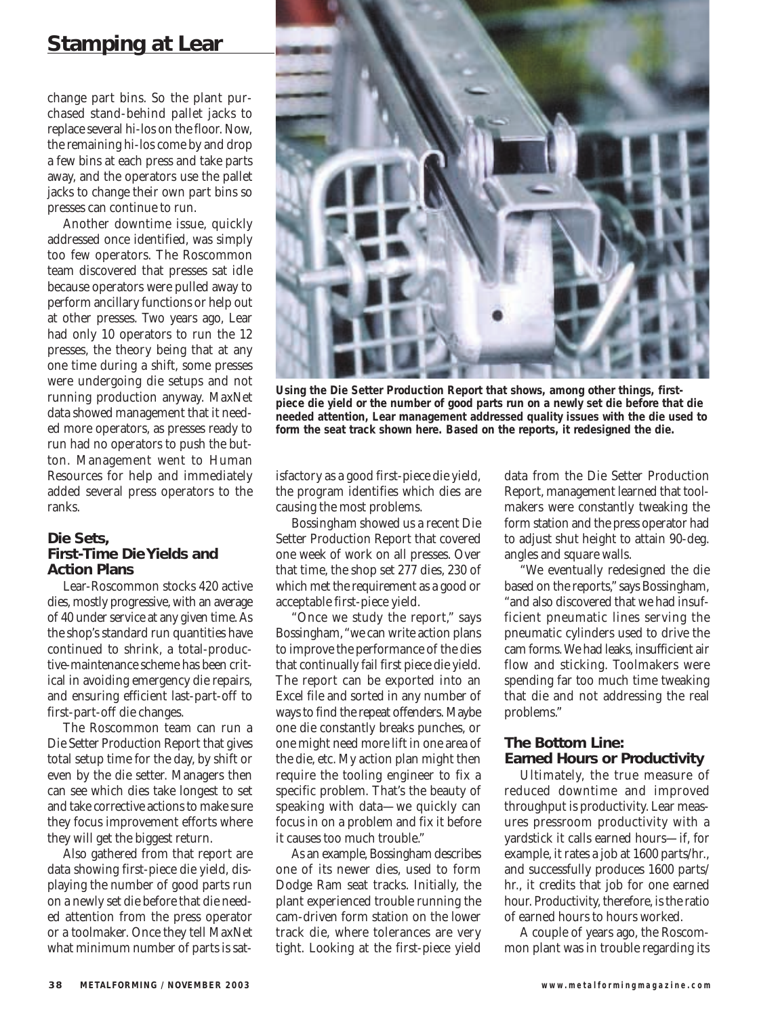# **Stamping at Lear**

change part bins. So the plant purchased stand-behind pallet jacks to replace several hi-los on the floor. Now, the remaining hi-los come by and drop a few bins at each press and take parts away, and the operators use the pallet jacks to change their own part bins so presses can continue to run.

Another downtime issue, quickly addressed once identified, was simply too few operators. The Roscommon team discovered that presses sat idle because operators were pulled away to perform ancillary functions or help out at other presses. Two years ago, Lear had only 10 operators to run the 12 presses, the theory being that at any one time during a shift, some presses were undergoing die setups and not running production anyway. MaxNet data showed management that it needed more operators, as presses ready to run had no operators to push the button. Management went to Human Resources for help and immediately added several press operators to the ranks.

# **Die Sets, First-Time Die Yields and Action Plans**

Lear-Roscommon stocks 420 active dies, mostly progressive, with an average of 40 under service at any given time. As the shop's standard run quantities have continued to shrink, a total-productive-maintenance scheme has been critical in avoiding emergency die repairs, and ensuring efficient last-part-off to first-part-off die changes.

The Roscommon team can run a Die Setter Production Report that gives total setup time for the day, by shift or even by the die setter. Managers then can see which dies take longest to set and take corrective actions to make sure they focus improvement efforts where they will get the biggest return.

Also gathered from that report are data showing first-piece die yield, displaying the number of good parts run on a newly set die before that die needed attention from the press operator or a toolmaker. Once they tell MaxNet what minimum number of parts is sat-



**Using the Die Setter Production Report that shows, among other things, firstpiece die yield or the number of good parts run on a newly set die before that die needed attention, Lear management addressed quality issues with the die used to form the seat track shown here. Based on the reports, it redesigned the die.**

isfactory as a good first-piece die yield, the program identifies which dies are causing the most problems.

Bossingham showed us a recent Die Setter Production Report that covered one week of work on all presses. Over that time, the shop set 277 dies, 230 of which met the requirement as a good or acceptable first-piece yield.

"Once we study the report," says Bossingham, "we can write action plans to improve the performance of the dies that continually fail first piece die yield. The report can be exported into an Excel file and sorted in any number of ways to find the repeat offenders. Maybe one die constantly breaks punches, or one might need more lift in one area of the die, etc. My action plan might then require the tooling engineer to fix a specific problem. That's the beauty of speaking with data—we quickly can focus in on a problem and fix it before it causes too much trouble."

As an example, Bossingham describes one of its newer dies, used to form Dodge Ram seat tracks. Initially, the plant experienced trouble running the cam-driven form station on the lower track die, where tolerances are very tight. Looking at the first-piece yield

data from the Die Setter Production Report, management learned that toolmakers were constantly tweaking the form station and the press operator had to adjust shut height to attain 90-deg. angles and square walls.

"We eventually redesigned the die based on the reports," says Bossingham, "and also discovered that we had insufficient pneumatic lines serving the pneumatic cylinders used to drive the cam forms. We had leaks, insufficient air flow and sticking. Toolmakers were spending far too much time tweaking that die and not addressing the real problems."

## **The Bottom Line: Earned Hours or Productivity**

Ultimately, the true measure of reduced downtime and improved throughput is productivity. Lear measures pressroom productivity with a yardstick it calls earned hours—if, for example, it rates a job at 1600 parts/hr., and successfully produces 1600 parts/ hr., it credits that job for one earned hour. Productivity, therefore, is the ratio of earned hours to hours worked.

A couple of years ago, the Roscommon plant was in trouble regarding its